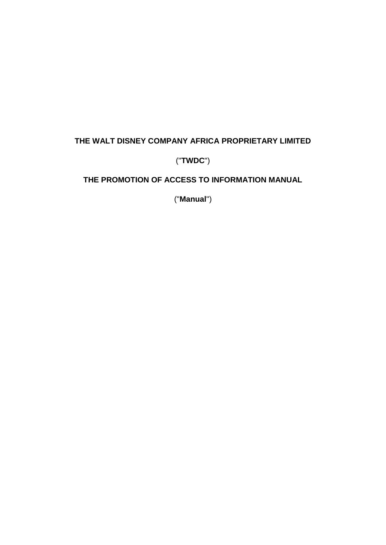# **THE WALT DISNEY COMPANY AFRICA PROPRIETARY LIMITED**

# ("**TWDC**")

# **THE PROMOTION OF ACCESS TO INFORMATION MANUAL**

("**Manual**")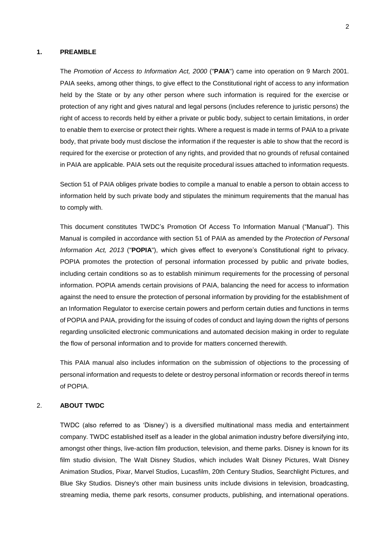#### **1. PREAMBLE**

The *Promotion of Access to Information Act, 2000* ("**PAIA**") came into operation on 9 March 2001. PAIA seeks, among other things, to give effect to the Constitutional right of access to any information held by the State or by any other person where such information is required for the exercise or protection of any right and gives natural and legal persons (includes reference to juristic persons) the right of access to records held by either a private or public body, subject to certain limitations, in order to enable them to exercise or protect their rights. Where a request is made in terms of PAIA to a private body, that private body must disclose the information if the requester is able to show that the record is required for the exercise or protection of any rights, and provided that no grounds of refusal contained in PAIA are applicable. PAIA sets out the requisite procedural issues attached to information requests.

Section 51 of PAIA obliges private bodies to compile a manual to enable a person to obtain access to information held by such private body and stipulates the minimum requirements that the manual has to comply with.

This document constitutes TWDC's Promotion Of Access To Information Manual ("Manual"). This Manual is compiled in accordance with section 51 of PAIA as amended by the *Protection of Personal Information Act, 2013* ("**POPIA**"), which gives effect to everyone's Constitutional right to privacy. POPIA promotes the protection of personal information processed by public and private bodies, including certain conditions so as to establish minimum requirements for the processing of personal information. POPIA amends certain provisions of PAIA, balancing the need for access to information against the need to ensure the protection of personal information by providing for the establishment of an Information Regulator to exercise certain powers and perform certain duties and functions in terms of POPIA and PAIA, providing for the issuing of codes of conduct and laying down the rights of persons regarding unsolicited electronic communications and automated decision making in order to regulate the flow of personal information and to provide for matters concerned therewith.

This PAIA manual also includes information on the submission of objections to the processing of personal information and requests to delete or destroy personal information or records thereof in terms of POPIA.

#### 2. **ABOUT TWDC**

TWDC (also referred to as 'Disney') is a diversified multinational mass media and entertainment company. TWDC established itself as a leader in the global animation industry before diversifying into, amongst other things, live-action film production, television, and theme parks. Disney is known for its film studio division, The Walt Disney Studios, which includes Walt Disney Pictures, Walt Disney Animation Studios, Pixar, Marvel Studios, Lucasfilm, 20th Century Studios, Searchlight Pictures, and Blue Sky Studios. Disney's other main business units include divisions in television, broadcasting, streaming media, theme park resorts, consumer products, publishing, and international operations.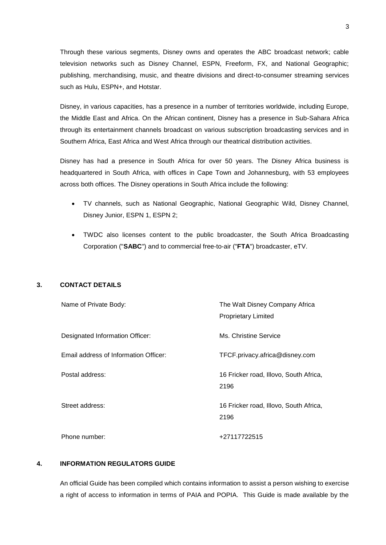Through these various segments, Disney owns and operates the ABC broadcast network; cable television networks such as Disney Channel, ESPN, Freeform, FX, and National Geographic; publishing, merchandising, music, and theatre divisions and direct-to-consumer streaming services such as Hulu, ESPN+, and Hotstar.

Disney, in various capacities, has a presence in a number of territories worldwide, including Europe, the Middle East and Africa. On the African continent, Disney has a presence in Sub-Sahara Africa through its entertainment channels broadcast on various subscription broadcasting services and in Southern Africa, East Africa and West Africa through our theatrical distribution activities.

Disney has had a presence in South Africa for over 50 years. The Disney Africa business is headquartered in South Africa, with offices in Cape Town and Johannesburg, with 53 employees across both offices. The Disney operations in South Africa include the following:

- TV channels, such as National Geographic, National Geographic Wild, Disney Channel, Disney Junior, ESPN 1, ESPN 2;
- TWDC also licenses content to the public broadcaster, the South Africa Broadcasting Corporation ("**SABC**") and to commercial free-to-air ("**FTA**") broadcaster, eTV.

### <span id="page-2-0"></span>**3. CONTACT DETAILS**

| Name of Private Body:                 | The Walt Disney Company Africa<br><b>Proprietary Limited</b> |
|---------------------------------------|--------------------------------------------------------------|
| Designated Information Officer:       | Ms. Christine Service                                        |
| Email address of Information Officer: | TFCF.privacy.africa@disney.com                               |
| Postal address:                       | 16 Fricker road, Illovo, South Africa,<br>2196               |
| Street address:                       | 16 Fricker road, Illovo, South Africa,<br>2196               |
| Phone number:                         | +27117722515                                                 |

### **4. INFORMATION REGULATORS GUIDE**

An official Guide has been compiled which contains information to assist a person wishing to exercise a right of access to information in terms of PAIA and POPIA. This Guide is made available by the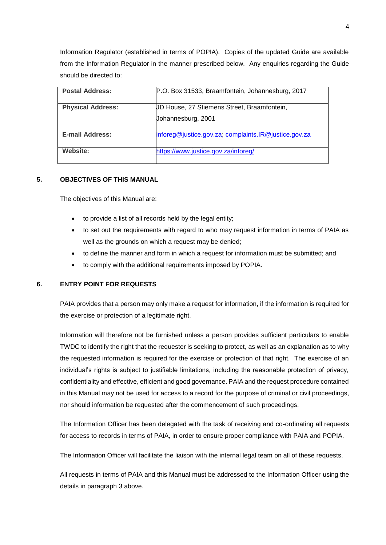Information Regulator (established in terms of POPIA). Copies of the updated Guide are available from the Information Regulator in the manner prescribed below. Any enquiries regarding the Guide should be directed to:

| <b>Postal Address:</b>   | P.O. Box 31533, Braamfontein, Johannesburg, 2017     |
|--------------------------|------------------------------------------------------|
| <b>Physical Address:</b> | UD House, 27 Stiemens Street, Braamfontein,          |
|                          |                                                      |
|                          | Johannesburg, 2001                                   |
|                          |                                                      |
| <b>E-mail Address:</b>   | inforeg@justice.gov.za; complaints.IR@justice.gov.za |
|                          |                                                      |
| Website:                 | https://www.justice.gov.za/inforeg/                  |
|                          |                                                      |

### **5. OBJECTIVES OF THIS MANUAL**

The objectives of this Manual are:

- to provide a list of all records held by the legal entity;
- to set out the requirements with regard to who may request information in terms of PAIA as well as the grounds on which a request may be denied;
- to define the manner and form in which a request for information must be submitted; and
- to comply with the additional requirements imposed by POPIA.

#### **6. ENTRY POINT FOR REQUESTS**

PAIA provides that a person may only make a request for information, if the information is required for the exercise or protection of a legitimate right.

Information will therefore not be furnished unless a person provides sufficient particulars to enable TWDC to identify the right that the requester is seeking to protect, as well as an explanation as to why the requested information is required for the exercise or protection of that right. The exercise of an individual's rights is subject to justifiable limitations, including the reasonable protection of privacy, confidentiality and effective, efficient and good governance. PAIA and the request procedure contained in this Manual may not be used for access to a record for the purpose of criminal or civil proceedings, nor should information be requested after the commencement of such proceedings.

The Information Officer has been delegated with the task of receiving and co-ordinating all requests for access to records in terms of PAIA, in order to ensure proper compliance with PAIA and POPIA.

The Information Officer will facilitate the liaison with the internal legal team on all of these requests.

All requests in terms of PAIA and this Manual must be addressed to the Information Officer using the details in paragraph [3](#page-2-0) above.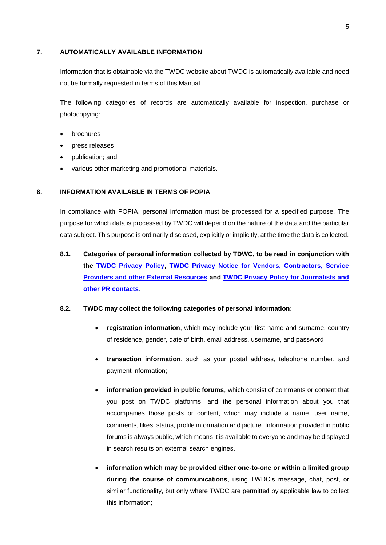#### **7. AUTOMATICALLY AVAILABLE INFORMATION**

Information that is obtainable via the TWDC website about TWDC is automatically available and need not be formally requested in terms of this Manual.

The following categories of records are automatically available for inspection, purchase or photocopying:

- brochures
- press releases
- publication; and
- various other marketing and promotional materials.

#### **8. INFORMATION AVAILABLE IN TERMS OF POPIA**

In compliance with POPIA, personal information must be processed for a specified purpose. The purpose for which data is processed by TWDC will depend on the nature of the data and the particular data subject. This purpose is ordinarily disclosed, explicitly or implicitly, at the time the data is collected.

**8.1. Categories of personal information collected by TDWC, to be read in conjunction with the [TWDC Privacy Policy,](https://privacy.thewaltdisneycompany.com/en/) [TWDC Privacy Notice for Vendors, Contractors, Service](https://disneycasting.net/privacy/index.html#infowecollect)  [Providers and other External Resources](https://disneycasting.net/privacy/index.html#infowecollect) and [TWDC Privacy Policy for Journalists and](http://cdnvideo.dolimg.com/cdn_assets/01cf47f7182185de66b08430b0fa949357208000.pdf)  [other PR contacts](http://cdnvideo.dolimg.com/cdn_assets/01cf47f7182185de66b08430b0fa949357208000.pdf)**.

#### **8.2. TWDC may collect the following categories of personal information:**

- **registration information**, which may include your first name and surname, country of residence, gender, date of birth, email address, username, and password;
- **transaction information**, such as your postal address, telephone number, and payment information;
- **information provided in public forums**, which consist of comments or content that you post on TWDC platforms, and the personal information about you that accompanies those posts or content, which may include a name, user name, comments, likes, status, profile information and picture. Information provided in public forums is always public, which means it is available to everyone and may be displayed in search results on external search engines.
- **information which may be provided either one-to-one or within a limited group during the course of communications**, using TWDC's message, chat, post, or similar functionality, but only where TWDC are permitted by applicable law to collect this information;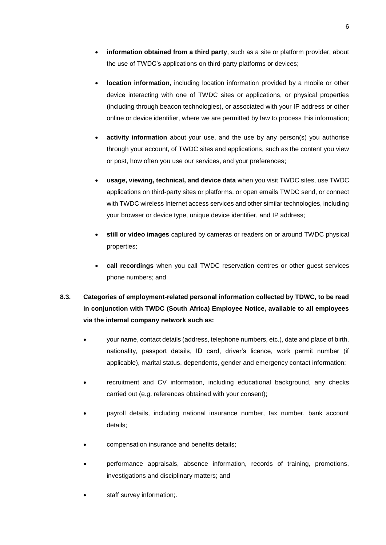- **information obtained from a third party**, such as a site or platform provider, about the use of TWDC's applications on third-party platforms or devices;
- **location information**, including location information provided by a mobile or other device interacting with one of TWDC sites or applications, or physical properties (including through beacon technologies), or associated with your IP address or other online or device identifier, where we are permitted by law to process this information;
- **activity information** about your use, and the use by any person(s) you authorise through your account, of TWDC sites and applications, such as the content you view or post, how often you use our services, and your preferences;
- **usage, viewing, technical, and device data** when you visit TWDC sites, use TWDC applications on third-party sites or platforms, or open emails TWDC send, or connect with TWDC wireless Internet access services and other similar technologies, including your browser or device type, unique device identifier, and IP address;
- **still or video images** captured by cameras or readers on or around TWDC physical properties;
- **call recordings** when you call TWDC reservation centres or other guest services phone numbers; and
- **8.3. Categories of employment-related personal information collected by TDWC, to be read in conjunction with TWDC (South Africa) Employee Notice, available to all employees via the internal company network such as:**
	- your name, contact details (address, telephone numbers, etc.), date and place of birth, nationality, passport details, ID card, driver's licence, work permit number (if applicable), marital status, dependents, gender and emergency contact information;
	- recruitment and CV information, including educational background, any checks carried out (e.g. references obtained with your consent);
	- payroll details, including national insurance number, tax number, bank account details;
	- compensation insurance and benefits details;
	- performance appraisals, absence information, records of training, promotions, investigations and disciplinary matters; and
	- staff survey information;.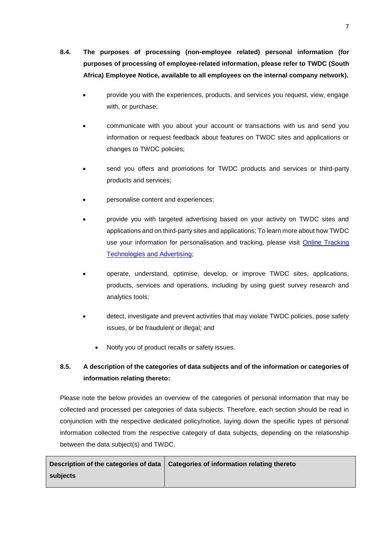- **8.4. The purposes of processing (non-employee related) personal information (for purposes of processing of employee-related information, please refer to TWDC (South Africa) Employee Notice, available to all employees on the internal company network).**
	- provide you with the experiences, products, and services you request, view, engage with, or purchase;
	- communicate with you about your account or transactions with us and send you information or request feedback about features on TWDC sites and applications or changes to TWDC policies;
	- send you offers and promotions for TWDC products and services or third-party products and services;
	- personalise content and experiences;
	- provide you with targeted advertising based on your activity on TWDC sites and applications and on third-party sites and applications; To learn more about how TWDC use your information for personalisation and tracking, please visit [Online Tracking](https://privacy.thewaltdisneycompany.com/en/privacy-controls/online-tracking-and-advertising/)  [Technologies and Advertising;](https://privacy.thewaltdisneycompany.com/en/privacy-controls/online-tracking-and-advertising/)
	- operate, understand, optimise, develop, or improve TWDC sites, applications, products, services and operations, including by using guest survey research and analytics tools;
	- detect, investigate and prevent activities that may violate TWDC policies, pose safety issues, or be fraudulent or illegal; and
		- Notify you of product recalls or safety issues.

# **8.5. A description of the categories of data subjects and of the information or categories of information relating thereto:**

Please note the below provides an overview of the categories of personal information that may be collected and processed per categories of data subjects. Therefore, each section should be read in conjunction with the respective dedicated policy/notice, laying down the specific types of personal information collected from the respective category of data subjects, depending on the relationship between the data subject(s) and TWDC.

|          | Description of the categories of data   Categories of information relating thereto |
|----------|------------------------------------------------------------------------------------|
| subjects |                                                                                    |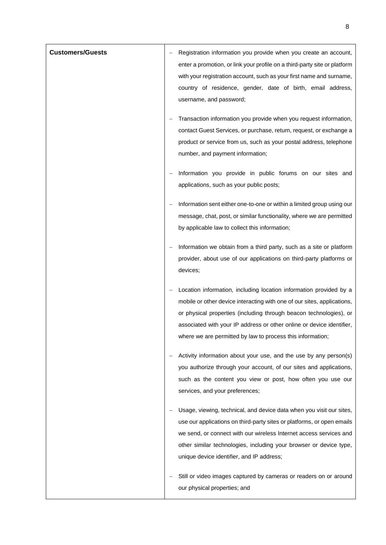| <b>Customers/Guests</b> | Registration information you provide when you create an account,<br>enter a promotion, or link your profile on a third-party site or platform<br>with your registration account, such as your first name and surname,<br>country of residence, gender, date of birth, email address,<br>username, and password;                                            |
|-------------------------|------------------------------------------------------------------------------------------------------------------------------------------------------------------------------------------------------------------------------------------------------------------------------------------------------------------------------------------------------------|
|                         | Transaction information you provide when you request information,<br>contact Guest Services, or purchase, return, request, or exchange a<br>product or service from us, such as your postal address, telephone<br>number, and payment information;                                                                                                         |
|                         | Information you provide in public forums on our sites and<br>applications, such as your public posts;                                                                                                                                                                                                                                                      |
|                         | Information sent either one-to-one or within a limited group using our<br>message, chat, post, or similar functionality, where we are permitted<br>by applicable law to collect this information;                                                                                                                                                          |
|                         | Information we obtain from a third party, such as a site or platform<br>provider, about use of our applications on third-party platforms or<br>devices;                                                                                                                                                                                                    |
|                         | Location information, including location information provided by a<br>mobile or other device interacting with one of our sites, applications,<br>or physical properties (including through beacon technologies), or<br>associated with your IP address or other online or device identifier,<br>where we are permitted by law to process this information; |
|                         | Activity information about your use, and the use by any person(s)<br>you authorize through your account, of our sites and applications,<br>such as the content you view or post, how often you use our<br>services, and your preferences;                                                                                                                  |
|                         | Usage, viewing, technical, and device data when you visit our sites,<br>use our applications on third-party sites or platforms, or open emails<br>we send, or connect with our wireless Internet access services and<br>other similar technologies, including your browser or device type,<br>unique device identifier, and IP address;                    |
|                         | Still or video images captured by cameras or readers on or around<br>our physical properties; and                                                                                                                                                                                                                                                          |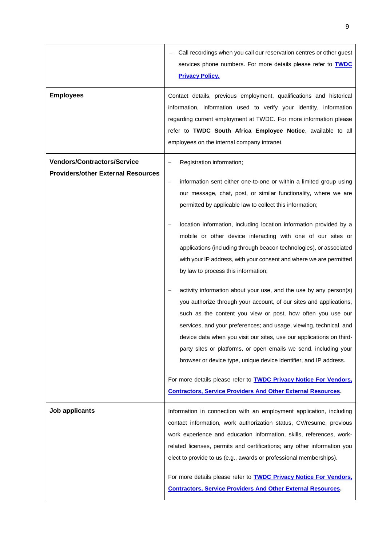|                                                                                 | Call recordings when you call our reservation centres or other guest<br>services phone numbers. For more details please refer to TWDC<br><b>Privacy Policy.</b>                                                                                                                                                                                                                                                                                                                                                                                                                                                                                                                   |  |
|---------------------------------------------------------------------------------|-----------------------------------------------------------------------------------------------------------------------------------------------------------------------------------------------------------------------------------------------------------------------------------------------------------------------------------------------------------------------------------------------------------------------------------------------------------------------------------------------------------------------------------------------------------------------------------------------------------------------------------------------------------------------------------|--|
| <b>Employees</b>                                                                | Contact details, previous employment, qualifications and historical<br>information, information used to verify your identity, information<br>regarding current employment at TWDC. For more information please<br>refer to TWDC South Africa Employee Notice, available to all<br>employees on the internal company intranet.                                                                                                                                                                                                                                                                                                                                                     |  |
| <b>Vendors/Contractors/Service</b><br><b>Providers/other External Resources</b> | Registration information;<br>information sent either one-to-one or within a limited group using<br>our message, chat, post, or similar functionality, where we are<br>permitted by applicable law to collect this information;<br>location information, including location information provided by a<br>mobile or other device interacting with one of our sites or                                                                                                                                                                                                                                                                                                               |  |
|                                                                                 | applications (including through beacon technologies), or associated<br>with your IP address, with your consent and where we are permitted<br>by law to process this information;<br>activity information about your use, and the use by any person(s)<br>you authorize through your account, of our sites and applications,<br>such as the content you view or post, how often you use our<br>services, and your preferences; and usage, viewing, technical, and<br>device data when you visit our sites, use our applications on third-<br>party sites or platforms, or open emails we send, including your<br>browser or device type, unique device identifier, and IP address. |  |
|                                                                                 | For more details please refer to <b>TWDC Privacy Notice For Vendors</b> ,<br><b>Contractors, Service Providers And Other External Resources.</b>                                                                                                                                                                                                                                                                                                                                                                                                                                                                                                                                  |  |
| Job applicants                                                                  | Information in connection with an employment application, including<br>contact information, work authorization status, CV/resume, previous<br>work experience and education information, skills, references, work-<br>related licenses, permits and certifications; any other information you<br>elect to provide to us (e.g., awards or professional memberships).<br>For more details please refer to <b>TWDC Privacy Notice For Vendors</b> ,<br><b>Contractors, Service Providers And Other External Resources.</b>                                                                                                                                                           |  |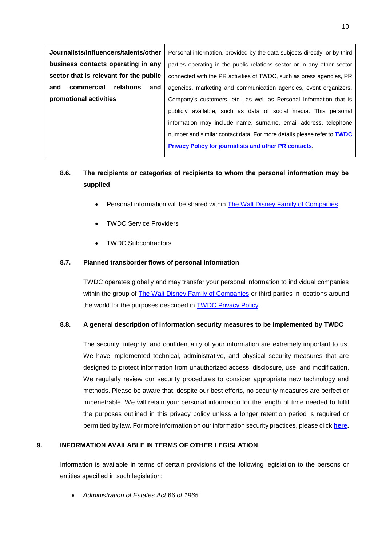| Journalists/influencers/talents/other  | Personal information, provided by the data subjects directly, or by third     |  |
|----------------------------------------|-------------------------------------------------------------------------------|--|
| business contacts operating in any     | parties operating in the public relations sector or in any other sector       |  |
| sector that is relevant for the public | connected with the PR activities of TWDC, such as press agencies, PR          |  |
| commercial<br>relations<br>and<br>and  | agencies, marketing and communication agencies, event organizers,             |  |
| promotional activities                 | Company's customers, etc., as well as Personal Information that is            |  |
|                                        | publicly available, such as data of social media. This personal               |  |
|                                        | information may include name, surname, email address, telephone               |  |
|                                        | number and similar contact data. For more details please refer to <b>TWDC</b> |  |
|                                        | <b>Privacy Policy for journalists and other PR contacts.</b>                  |  |
|                                        |                                                                               |  |

# **8.6. The recipients or categories of recipients to whom the personal information may be supplied**

- Personal information will be shared within The Walt Disney [Family of Companies](https://privacy.thewaltdisneycompany.com/en/current-privacy-policy/#heading1)
- TWDC Service Providers
- TWDC Subcontractors

## **8.7. Planned transborder flows of personal information**

TWDC operates globally and may transfer your personal information to individual companies within the group of [The Walt Disney Family of Companies](https://privacy.thewaltdisneycompany.com/en/current-privacy-policy/#heading1) or third parties in locations around the world for the purposes described in [TWDC Privacy Policy.](https://privacy.thewaltdisneycompany.com/en/current-privacy-policy/)

### **8.8. A general description of information security measures to be implemented by TWDC**

The security, integrity, and confidentiality of your information are extremely important to us. We have implemented technical, administrative, and physical security measures that are designed to protect information from unauthorized access, disclosure, use, and modification. We regularly review our security procedures to consider appropriate new technology and methods. Please be aware that, despite our best efforts, no security measures are perfect or impenetrable. We will retain your personal information for the length of time needed to fulfil the purposes outlined in this privacy policy unless a longer retention period is required or permitted by law. For more information on our information security practices, please click **[here.](https://thewaltdisneycompany.com/app/uploads/2021/02/TWDC-Information-Security-Management-System.pdf)**

### **9. INFORMATION AVAILABLE IN TERMS OF OTHER LEGISLATION**

Information is available in terms of certain provisions of the following legislation to the persons or entities specified in such legislation:

*Administration of Estates Act* 66 *of 1965*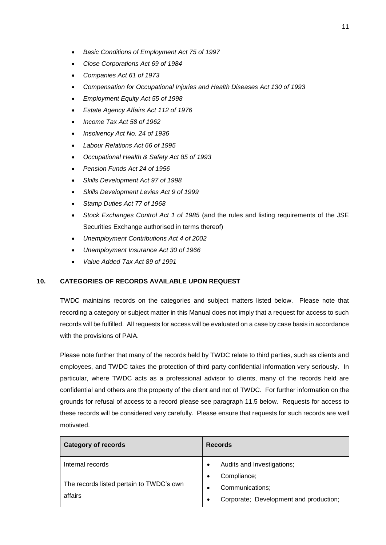- *Basic Conditions of Employment Act 75 of 1997*
- *Close Corporations Act 69 of 1984*
- *Companies Act 61 of 1973*
- *Compensation for Occupational Injuries and Health Diseases Act 130 of 1993*
- *Employment Equity Act 55 of 1998*
- *Estate Agency Affairs Act 112 of 1976*
- *Income Tax Act 58 of 1962*
- *Insolvency Act No. 24 of 1936*
- *Labour Relations Act 66 of 1995*
- *Occupational Health & Safety Act 85 of 1993*
- *Pension Funds Act 24 of 1956*
- *Skills Development Act 97 of 1998*
- *Skills Development Levies Act 9 of 1999*
- *Stamp Duties Act 77 of 1968*
- *Stock Exchanges Control Act 1 of 1985* (and the rules and listing requirements of the JSE Securities Exchange authorised in terms thereof)
- *Unemployment Contributions Act 4 of 2002*
- *Unemployment Insurance Act 30 of 1966*
- *Value Added Tax Act 89 of 1991*

### **10. CATEGORIES OF RECORDS AVAILABLE UPON REQUEST**

TWDC maintains records on the categories and subject matters listed below. Please note that recording a category or subject matter in this Manual does not imply that a request for access to such records will be fulfilled. All requests for access will be evaluated on a case by case basis in accordance with the provisions of PAIA.

Please note further that many of the records held by TWDC relate to third parties, such as clients and employees, and TWDC takes the protection of third party confidential information very seriously. In particular, where TWDC acts as a professional advisor to clients, many of the records held are confidential and others are the property of the client and not of TWDC. For further information on the grounds for refusal of access to a record please see paragraph [11.5](#page-15-0) below. Requests for access to these records will be considered very carefully. Please ensure that requests for such records are well motivated.

| <b>Category of records</b>                          | <b>Records</b>                                      |  |
|-----------------------------------------------------|-----------------------------------------------------|--|
| Internal records                                    | Audits and Investigations;                          |  |
| The records listed pertain to TWDC's own<br>affairs | Compliance;<br>$\bullet$                            |  |
|                                                     | Communications;<br>٠                                |  |
|                                                     | Corporate; Development and production;<br>$\bullet$ |  |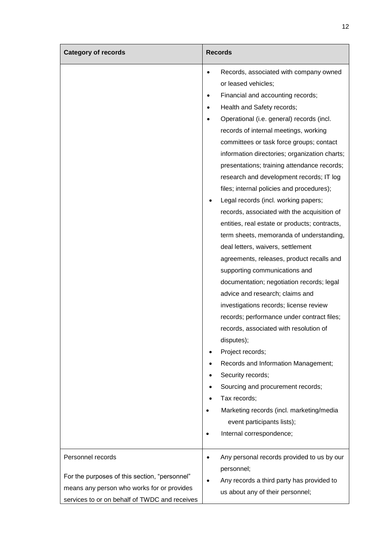| <b>Category of records</b>                                                                                                                   | <b>Records</b>                                                                                                                                                                                                                                                                                                                                                                                                                                                                                                                                                                                                                                                                                                                                                                                                                                                                                                                                                                                                                                                                                                                                                                                                                                                               |  |  |
|----------------------------------------------------------------------------------------------------------------------------------------------|------------------------------------------------------------------------------------------------------------------------------------------------------------------------------------------------------------------------------------------------------------------------------------------------------------------------------------------------------------------------------------------------------------------------------------------------------------------------------------------------------------------------------------------------------------------------------------------------------------------------------------------------------------------------------------------------------------------------------------------------------------------------------------------------------------------------------------------------------------------------------------------------------------------------------------------------------------------------------------------------------------------------------------------------------------------------------------------------------------------------------------------------------------------------------------------------------------------------------------------------------------------------------|--|--|
| Personnel records                                                                                                                            | Records, associated with company owned<br>$\bullet$<br>or leased vehicles;<br>Financial and accounting records;<br>Health and Safety records;<br>٠<br>Operational (i.e. general) records (incl.<br>records of internal meetings, working<br>committees or task force groups; contact<br>information directories; organization charts;<br>presentations; training attendance records;<br>research and development records; IT log<br>files; internal policies and procedures);<br>Legal records (incl. working papers;<br>records, associated with the acquisition of<br>entities, real estate or products; contracts,<br>term sheets, memoranda of understanding,<br>deal letters, waivers, settlement<br>agreements, releases, product recalls and<br>supporting communications and<br>documentation; negotiation records; legal<br>advice and research; claims and<br>investigations records; license review<br>records; performance under contract files;<br>records, associated with resolution of<br>disputes);<br>Project records;<br>Records and Information Management;<br>Security records;<br>Sourcing and procurement records;<br>Tax records;<br>Marketing records (incl. marketing/media<br>event participants lists);<br>Internal correspondence;<br>$\bullet$ |  |  |
| For the purposes of this section, "personnel"<br>means any person who works for or provides<br>services to or on behalf of TWDC and receives | Any personal records provided to us by our<br>٠<br>personnel;<br>Any records a third party has provided to<br>us about any of their personnel;                                                                                                                                                                                                                                                                                                                                                                                                                                                                                                                                                                                                                                                                                                                                                                                                                                                                                                                                                                                                                                                                                                                               |  |  |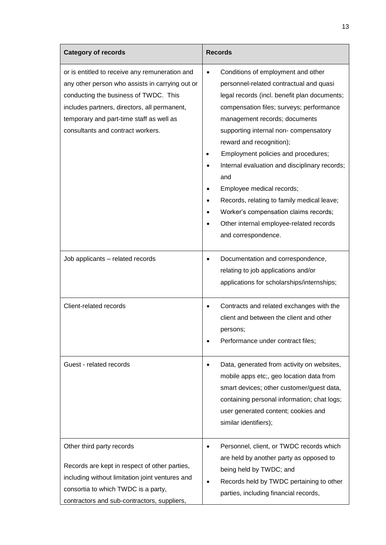| <b>Category of records</b>                                                                                                                                                                                                                                                  | <b>Records</b>                                                                                                                                                                                                                                                                                                                                                                                                                                                                                                                                                                                                                                     |
|-----------------------------------------------------------------------------------------------------------------------------------------------------------------------------------------------------------------------------------------------------------------------------|----------------------------------------------------------------------------------------------------------------------------------------------------------------------------------------------------------------------------------------------------------------------------------------------------------------------------------------------------------------------------------------------------------------------------------------------------------------------------------------------------------------------------------------------------------------------------------------------------------------------------------------------------|
| or is entitled to receive any remuneration and<br>any other person who assists in carrying out or<br>conducting the business of TWDC. This<br>includes partners, directors, all permanent,<br>temporary and part-time staff as well as<br>consultants and contract workers. | Conditions of employment and other<br>$\bullet$<br>personnel-related contractual and quasi<br>legal records (incl. benefit plan documents;<br>compensation files; surveys; performance<br>management records; documents<br>supporting internal non- compensatory<br>reward and recognition);<br>Employment policies and procedures;<br>Internal evaluation and disciplinary records;<br>$\bullet$<br>and<br>Employee medical records;<br>$\bullet$<br>Records, relating to family medical leave;<br>$\bullet$<br>Worker's compensation claims records;<br>$\bullet$<br>Other internal employee-related records<br>$\bullet$<br>and correspondence. |
| Job applicants - related records                                                                                                                                                                                                                                            | Documentation and correspondence,<br>$\bullet$<br>relating to job applications and/or<br>applications for scholarships/internships;                                                                                                                                                                                                                                                                                                                                                                                                                                                                                                                |
| Client-related records                                                                                                                                                                                                                                                      | Contracts and related exchanges with the<br>client and between the client and other<br>persons;<br>Performance under contract files;                                                                                                                                                                                                                                                                                                                                                                                                                                                                                                               |
| Guest - related records                                                                                                                                                                                                                                                     | Data, generated from activity on websites,<br>mobile apps etc;, geo location data from<br>smart devices; other customer/guest data,<br>containing personal information; chat logs;<br>user generated content; cookies and<br>similar identifiers);                                                                                                                                                                                                                                                                                                                                                                                                 |
| Other third party records<br>Records are kept in respect of other parties,<br>including without limitation joint ventures and<br>consortia to which TWDC is a party,<br>contractors and sub-contractors, suppliers,                                                         | Personnel, client, or TWDC records which<br>are held by another party as opposed to<br>being held by TWDC; and<br>Records held by TWDC pertaining to other<br>parties, including financial records,                                                                                                                                                                                                                                                                                                                                                                                                                                                |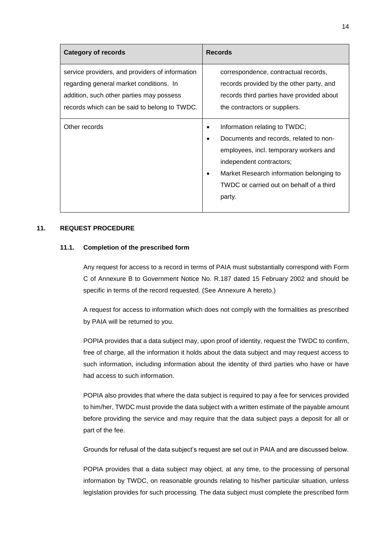| <b>Category of records</b>                                                                                                                                                             | <b>Records</b>                                                                                                                                                                                                                                               |
|----------------------------------------------------------------------------------------------------------------------------------------------------------------------------------------|--------------------------------------------------------------------------------------------------------------------------------------------------------------------------------------------------------------------------------------------------------------|
| service providers, and providers of information<br>regarding general market conditions. In<br>addition, such other parties may possess<br>records which can be said to belong to TWDC. | correspondence, contractual records,<br>records provided by the other party, and<br>records third parties have provided about<br>the contractors or suppliers.                                                                                               |
| Other records                                                                                                                                                                          | Information relating to TWDC;<br>Documents and records, related to non-<br>$\bullet$<br>employees, incl. temporary workers and<br>independent contractors;<br>Market Research information belonging to<br>TWDC or carried out on behalf of a third<br>party. |

## **11. REQUEST PROCEDURE**

### **11.1. Completion of the prescribed form**

Any request for access to a record in terms of PAIA must substantially correspond with Form C of Annexure B to Government Notice No. R.187 dated 15 February 2002 and should be specific in terms of the record requested. (See [Annexure A](#page-17-0) hereto.)

A request for access to information which does not comply with the formalities as prescribed by PAIA will be returned to you.

POPIA provides that a data subject may, upon proof of identity, request the TWDC to confirm, free of charge, all the information it holds about the data subject and may request access to such information, including information about the identity of third parties who have or have had access to such information.

POPIA also provides that where the data subject is required to pay a fee for services provided to him/her, TWDC must provide the data subject with a written estimate of the payable amount before providing the service and may require that the data subject pays a deposit for all or part of the fee.

Grounds for refusal of the data subject's request are set out in PAIA and are discussed below.

POPIA provides that a data subject may object, at any time, to the processing of personal information by TWDC, on reasonable grounds relating to his/her particular situation, unless legislation provides for such processing. The data subject must complete the prescribed form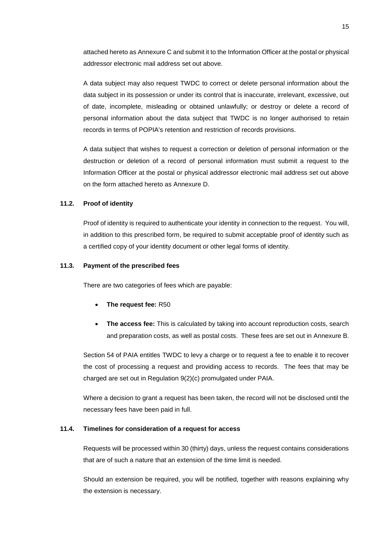attached hereto a[s Annexure C](#page-25-0) and submit it to the Information Officer at the postal or physical addressor electronic mail address set out above.

A data subject may also request TWDC to correct or delete personal information about the data subject in its possession or under its control that is inaccurate, irrelevant, excessive, out of date, incomplete, misleading or obtained unlawfully; or destroy or delete a record of personal information about the data subject that TWDC is no longer authorised to retain records in terms of POPIA's retention and restriction of records provisions.

A data subject that wishes to request a correction or deletion of personal information or the destruction or deletion of a record of personal information must submit a request to the Information Officer at the postal or physical addressor electronic mail address set out above on the form attached hereto as [Annexure D.](#page-28-0)

### **11.2. Proof of identity**

Proof of identity is required to authenticate your identity in connection to the request. You will, in addition to this prescribed form, be required to submit acceptable proof of identity such as a certified copy of your identity document or other legal forms of identity.

#### **11.3. Payment of the prescribed fees**

There are two categories of fees which are payable:

- **The request fee:** R50
- **The access fee:** This is calculated by taking into account reproduction costs, search and preparation costs, as well as postal costs. These fees are set out in [Annexure B.](#page-23-0)

Section 54 of PAIA entitles TWDC to levy a charge or to request a fee to enable it to recover the cost of processing a request and providing access to records. The fees that may be charged are set out in Regulation 9(2)(c) promulgated under PAIA.

Where a decision to grant a request has been taken, the record will not be disclosed until the necessary fees have been paid in full.

#### **11.4. Timelines for consideration of a request for access**

Requests will be processed within 30 (thirty) days, unless the request contains considerations that are of such a nature that an extension of the time limit is needed.

Should an extension be required, you will be notified, together with reasons explaining why the extension is necessary.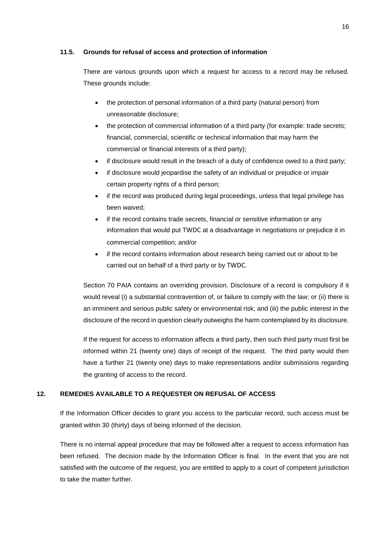#### <span id="page-15-0"></span>**11.5. Grounds for refusal of access and protection of information**

There are various grounds upon which a request for access to a record may be refused. These grounds include:

- the protection of personal information of a third party (natural person) from unreasonable disclosure;
- the protection of commercial information of a third party (for example: trade secrets; financial, commercial, scientific or technical information that may harm the commercial or financial interests of a third party);
- if disclosure would result in the breach of a duty of confidence owed to a third party;
- if disclosure would jeopardise the safety of an individual or prejudice or impair certain property rights of a third person;
- if the record was produced during legal proceedings, unless that legal privilege has been waived;
- if the record contains trade secrets, financial or sensitive information or any information that would put TWDC at a disadvantage in negotiations or prejudice it in commercial competition; and/or
- if the record contains information about research being carried out or about to be carried out on behalf of a third party or by TWDC.

Section 70 PAIA contains an overriding provision. Disclosure of a record is compulsory if it would reveal (i) a substantial contravention of, or failure to comply with the law; or (ii) there is an imminent and serious public safety or environmental risk; and (iii) the public interest in the disclosure of the record in question clearly outweighs the harm contemplated by its disclosure.

If the request for access to information affects a third party, then such third party must first be informed within 21 (twenty one) days of receipt of the request. The third party would then have a further 21 (twenty one) days to make representations and/or submissions regarding the granting of access to the record.

### **12. REMEDIES AVAILABLE TO A REQUESTER ON REFUSAL OF ACCESS**

If the Information Officer decides to grant you access to the particular record, such access must be granted within 30 (thirty) days of being informed of the decision.

There is no internal appeal procedure that may be followed after a request to access information has been refused. The decision made by the Information Officer is final. In the event that you are not satisfied with the outcome of the request, you are entitled to apply to a court of competent jurisdiction to take the matter further.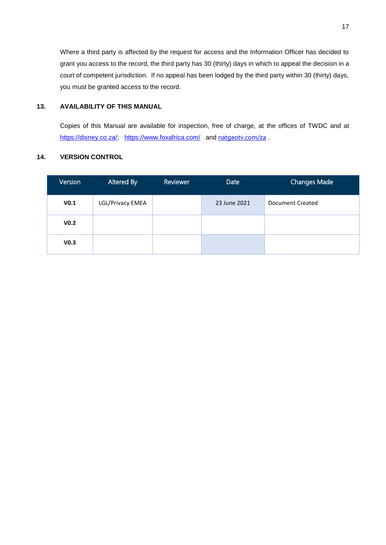Where a third party is affected by the request for access and the Information Officer has decided to grant you access to the record, the third party has 30 (thirty) days in which to appeal the decision in a court of competent jurisdiction. If no appeal has been lodged by the third party within 30 (thirty) days, you must be granted access to the record.

# **13. AVAILABILITY OF THIS MANUAL**

Copies of this Manual are available for inspection, free of charge, at the offices of TWDC and at [https://disney.co.za/;](https://disney.co.za/) <https://www.foxafrica.com/> and [natgeotv.com/za](https://l.instagram.com/?u=http%3A%2F%2Fnatgeotv.com%2Fza%2Fspecial%2Fplanet-possible%2F&e=ATMQxyqZvCYoq4Bos-p9r6qBkocvjwy8vJeAUOvA8twCPD3gITK8fEHYhKi5Gj8bmogcTGVi329x9fcs&s=1).

# **14. VERSION CONTROL**

| Version          | Altered By       | <b>Reviewer</b> | Date         | <b>Changes Made</b> |
|------------------|------------------|-----------------|--------------|---------------------|
| V <sub>0.1</sub> | LGL/Privacy EMEA |                 | 23 June 2021 | Document Created    |
| V <sub>0.2</sub> |                  |                 |              |                     |
| V <sub>0.3</sub> |                  |                 |              |                     |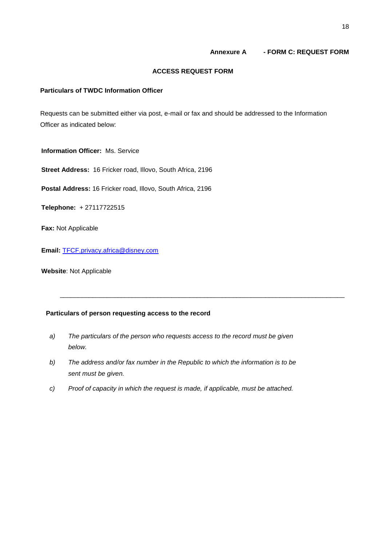#### **Annexure A - FORM C: REQUEST FORM**

#### **ACCESS REQUEST FORM**

# <span id="page-17-0"></span>**Particulars of TWDC Information Officer**

Requests can be submitted either via post, e-mail or fax and should be addressed to the Information Officer as indicated below:

**Information Officer:** Ms. Service

**Street Address:** 16 Fricker road, Illovo, South Africa, 2196

**Postal Address:** 16 Fricker road, Illovo, South Africa, 2196

**Telephone:** + 27117722515

**Fax:** Not Applicable

**Email:** [TFCF.privacy.africa@disney.com](mailto:TFCF.privacy.africa@disney.com)

**Website**: Not Applicable

## **Particulars of person requesting access to the record**

*a) The particulars of the person who requests access to the record must be given below.*

\_\_\_\_\_\_\_\_\_\_\_\_\_\_\_\_\_\_\_\_\_\_\_\_\_\_\_\_\_\_\_\_\_\_\_\_\_\_\_\_\_\_\_\_\_\_\_\_\_\_\_\_\_\_\_\_\_\_\_\_\_\_\_\_\_\_\_\_\_\_\_\_\_\_\_\_\_\_\_

- *b) The address and/or fax number in the Republic to which the information is to be sent must be given.*
- *c) Proof of capacity in which the request is made, if applicable, must be attached.*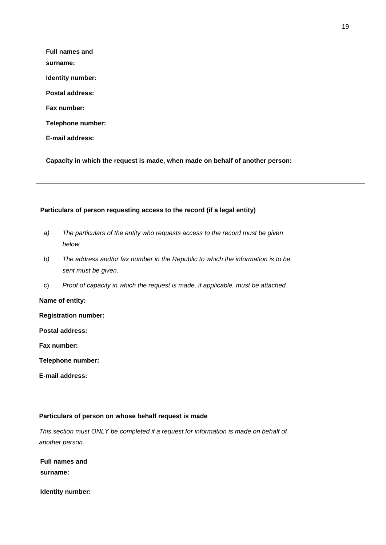| <b>Full names and</b>  |
|------------------------|
| surname:               |
| Identity number:       |
| Postal address:        |
| <b>Fax number:</b>     |
| Telephone number:      |
| <b>E-mail address:</b> |
|                        |

**Capacity in which the request is made, when made on behalf of another person:**

## **Particulars of person requesting access to the record (if a legal entity)**

- *a) The particulars of the entity who requests access to the record must be given below.*
- *b) The address and/or fax number in the Republic to which the information is to be sent must be given.*
- c) *Proof of capacity in which the request is made, if applicable, must be attached.*

#### **Name of entity:**

**Registration number:**

**Postal address:**

**Fax number:**

**Telephone number:**

**E-mail address:**

#### **Particulars of person on whose behalf request is made**

*This section must ONLY be completed if a request for information is made on behalf of another person.*

**Full names and surname:**

**Identity number:**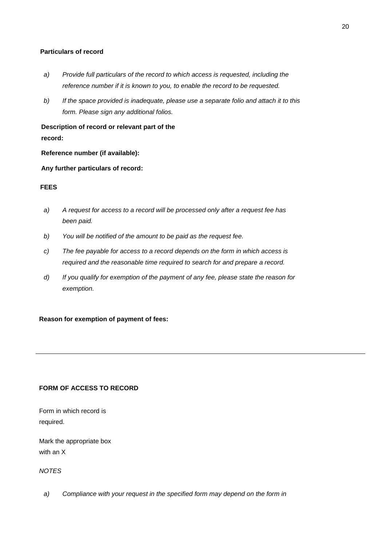### **Particulars of record**

- *a) Provide full particulars of the record to which access is requested, including the reference number if it is known to you, to enable the record to be requested.*
- *b) If the space provided is inadequate, please use a separate folio and attach it to this form. Please sign any additional folios.*

**Description of record or relevant part of the record:**

**Reference number (if available):**

**Any further particulars of record:**

## **FEES**

- *a) A request for access to a record will be processed only after a request fee has been paid.*
- *b) You will be notified of the amount to be paid as the request fee.*
- *c) The fee payable for access to a record depends on the form in which access is required and the reasonable time required to search for and prepare a record.*
- *d) If you qualify for exemption of the payment of any fee, please state the reason for exemption.*

**Reason for exemption of payment of fees:**

# **FORM OF ACCESS TO RECORD**

Form in which record is required.

Mark the appropriate box with an X

*NOTES*

*a) Compliance with your request in the specified form may depend on the form in*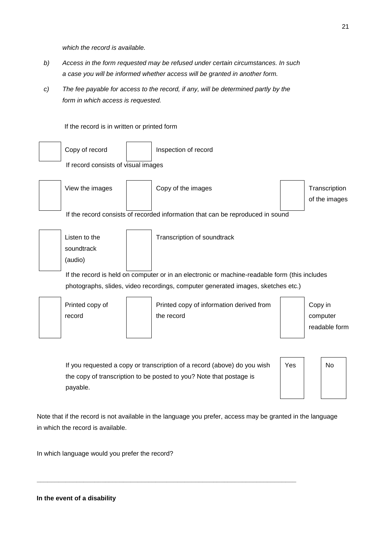*which the record is available.*

- *b) Access in the form requested may be refused under certain circumstances. In such a case you will be informed whether access will be granted in another form.*
- *c) The fee payable for access to the record, if any, will be determined partly by the form in which access is requested.*



the copy of transcription to be posted to you? Note that postage is payable.

**\_\_\_\_\_\_\_\_\_\_\_\_\_\_\_\_\_\_\_\_\_\_\_\_\_\_\_\_\_\_\_\_\_\_\_\_\_\_\_\_\_\_\_\_\_\_\_\_\_\_\_\_\_\_\_\_\_\_\_\_\_\_\_\_\_\_\_\_\_\_\_\_**

Note that if the record is not available in the language you prefer, access may be granted in the language in which the record is available.

In which language would you prefer the record?

**In the event of a disability**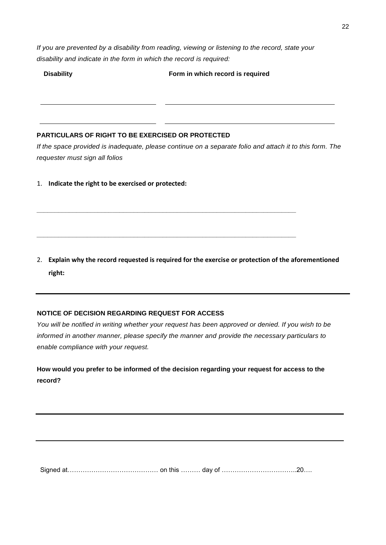*If you are prevented by a disability from reading, viewing or listening to the record, state your disability and indicate in the form in which the record is required:*

**Disability Form in which record is required**

# **PARTICULARS OF RIGHT TO BE EXERCISED OR PROTECTED**

*If the space provided is inadequate, please continue on a separate folio and attach it to this form. The requester must sign all folios* 

1. **Indicate the right to be exercised or protected:** 

2. **Explain why the record requested is required for the exercise or protection of the aforementioned right:** 

**\_\_\_\_\_\_\_\_\_\_\_\_\_\_\_\_\_\_\_\_\_\_\_\_\_\_\_\_\_\_\_\_\_\_\_\_\_\_\_\_\_\_\_\_\_\_\_\_\_\_\_\_\_\_\_\_\_\_\_\_\_\_\_\_\_\_\_\_\_\_\_\_**

**\_\_\_\_\_\_\_\_\_\_\_\_\_\_\_\_\_\_\_\_\_\_\_\_\_\_\_\_\_\_\_\_\_\_\_\_\_\_\_\_\_\_\_\_\_\_\_\_\_\_\_\_\_\_\_\_\_\_\_\_\_\_\_\_\_\_\_\_\_\_\_\_**

# **NOTICE OF DECISION REGARDING REQUEST FOR ACCESS**

*You will be notified in writing whether your request has been approved or denied. If you wish to be informed in another manner, please specify the manner and provide the necessary particulars to enable compliance with your request.*

**How would you prefer to be informed of the decision regarding your request for access to the record?**

Signed at…………………………………… on this ……… day of ……………………………..20….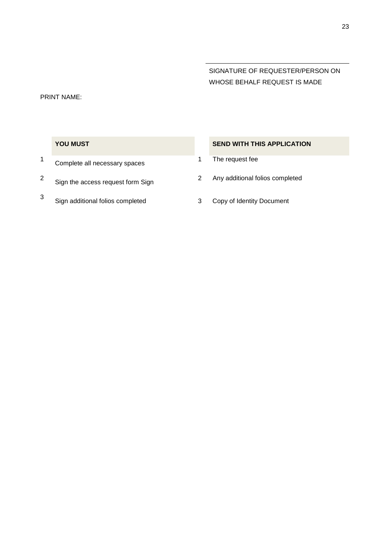# SIGNATURE OF REQUESTER/PERSON ON WHOSE BEHALF REQUEST IS MADE

#### PRINT NAME:

- 1 Complete all necessary spaces 1 The request fee
- 2
- 3 Sign additional folios completed 3 Copy of Identity Document

# **YOU MUST SEND WITH THIS APPLICATION**

- 
- Sign the access request form Sign <sup>2</sup> Any additional folios completed
	-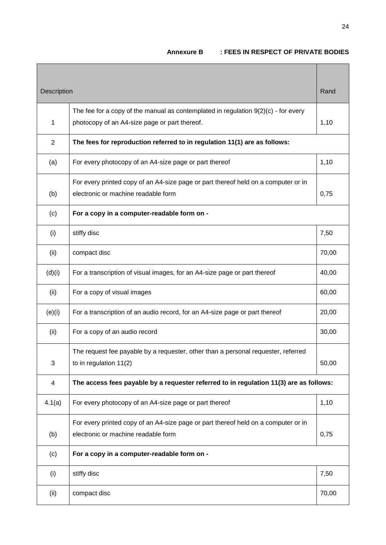# **Annexure B : FEES IN RESPECT OF PRIVATE BODIES**

<span id="page-23-0"></span>

| Description    |                                                                                        | Rand  |
|----------------|----------------------------------------------------------------------------------------|-------|
|                | The fee for a copy of the manual as contemplated in regulation $9(2)(c)$ - for every   |       |
| $\mathbf{1}$   | photocopy of an A4-size page or part thereof.                                          | 1,10  |
| $\overline{2}$ | The fees for reproduction referred to in regulation 11(1) are as follows:              |       |
| (a)            | For every photocopy of an A4-size page or part thereof                                 | 1,10  |
|                | For every printed copy of an A4-size page or part thereof held on a computer or in     |       |
| (b)            | electronic or machine readable form                                                    | 0,75  |
| (c)            | For a copy in a computer-readable form on -                                            |       |
| (i)            | stiffy disc                                                                            | 7,50  |
| (ii)           | compact disc                                                                           | 70,00 |
| (d)(i)         | For a transcription of visual images, for an A4-size page or part thereof              | 40,00 |
| (ii)           | For a copy of visual images                                                            | 60,00 |
| (e)(i)         | For a transcription of an audio record, for an A4-size page or part thereof            | 20,00 |
| (ii)           | For a copy of an audio record                                                          | 30,00 |
|                | The request fee payable by a requester, other than a personal requester, referred      |       |
| 3              | to in regulation $11(2)$                                                               | 50,00 |
| 4              | The access fees payable by a requester referred to in regulation 11(3) are as follows: |       |
| 4.1(a)         | For every photocopy of an A4-size page or part thereof                                 | 1,10  |
|                | For every printed copy of an A4-size page or part thereof held on a computer or in     |       |
| (b)            | electronic or machine readable form                                                    | 0,75  |
| (c)            | For a copy in a computer-readable form on -                                            |       |
| (i)            | stiffy disc                                                                            | 7,50  |
| (ii)           | compact disc                                                                           | 70,00 |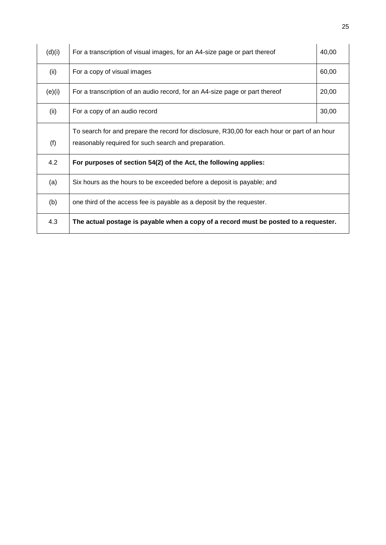| (d)(i) | For a transcription of visual images, for an A4-size page or part thereof                    | 40,00 |
|--------|----------------------------------------------------------------------------------------------|-------|
| (ii)   | For a copy of visual images                                                                  | 60,00 |
| (e)(i) | For a transcription of an audio record, for an A4-size page or part thereof                  | 20,00 |
| (ii)   | For a copy of an audio record                                                                | 30,00 |
|        | To search for and prepare the record for disclosure, R30,00 for each hour or part of an hour |       |
| (f)    | reasonably required for such search and preparation.                                         |       |
| 4.2    | For purposes of section 54(2) of the Act, the following applies:                             |       |
| (a)    | Six hours as the hours to be exceeded before a deposit is payable; and                       |       |
| (b)    | one third of the access fee is payable as a deposit by the requester.                        |       |
| 4.3    | The actual postage is payable when a copy of a record must be posted to a requester.         |       |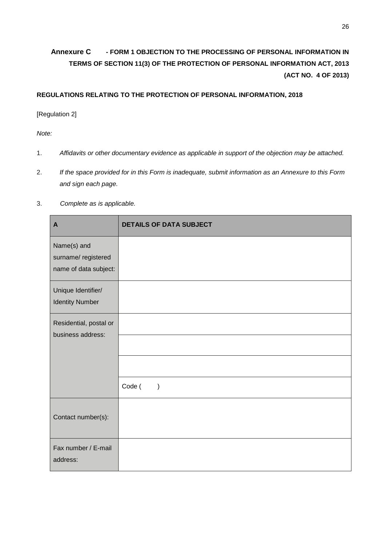# <span id="page-25-0"></span>**Annexure C - FORM 1 OBJECTION TO THE PROCESSING OF PERSONAL INFORMATION IN TERMS OF SECTION 11(3) OF THE PROTECTION OF PERSONAL INFORMATION ACT, 2013 (ACT NO. 4 OF 2013)**

# **REGULATIONS RELATING TO THE PROTECTION OF PERSONAL INFORMATION, 2018**

[Regulation 2]

*Note:* 

- 1. *Affidavits or other documentary evidence as applicable in support of the objection may be attached.*
- 2. *If the space provided for in this Form is inadequate, submit information as an Annexure to this Form and sign each page.*
- 3. *Complete as is applicable.*

| $\mathbf{A}$                                               | <b>DETAILS OF DATA SUBJECT</b> |
|------------------------------------------------------------|--------------------------------|
| Name(s) and<br>surname/registered<br>name of data subject: |                                |
| Unique Identifier/<br><b>Identity Number</b>               |                                |
| Residential, postal or<br>business address:                |                                |
|                                                            |                                |
|                                                            | Code (<br>$\mathcal{E}$        |
| Contact number(s):                                         |                                |
| Fax number / E-mail<br>address:                            |                                |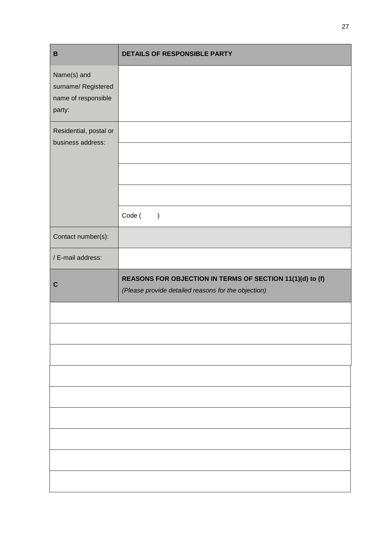| $\, {\bf B}$                                                        | DETAILS OF RESPONSIBLE PARTY                              |
|---------------------------------------------------------------------|-----------------------------------------------------------|
| Name(s) and<br>surname/ Registered<br>name of responsible<br>party: |                                                           |
| Residential, postal or<br>business address:                         |                                                           |
|                                                                     | Code (<br>$\lambda$                                       |
| Contact number(s):                                                  |                                                           |
| / E-mail address:                                                   |                                                           |
| $\mathbf c$                                                         | REASONS FOR OBJECTION IN TERMS OF SECTION 11(1)(d) to (f) |
|                                                                     | (Please provide detailed reasons for the objection)       |
|                                                                     |                                                           |
|                                                                     |                                                           |
|                                                                     |                                                           |
|                                                                     |                                                           |
|                                                                     |                                                           |
|                                                                     |                                                           |
|                                                                     |                                                           |
|                                                                     |                                                           |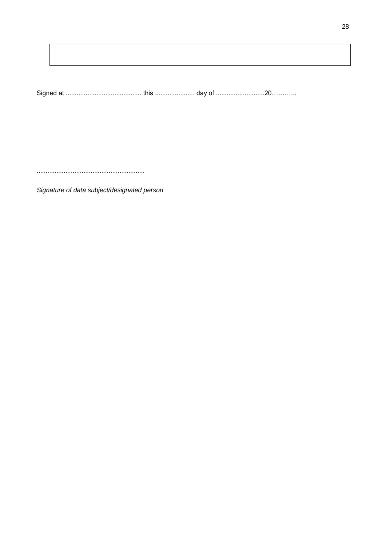28

Signature of data subject/designated person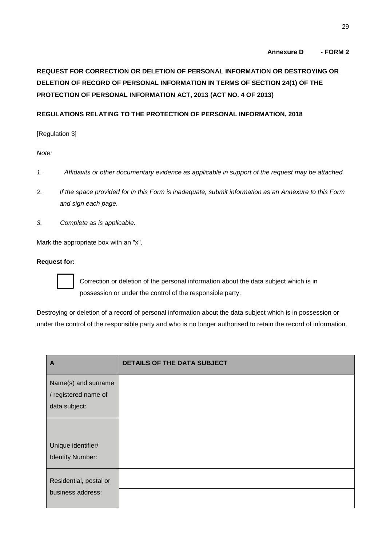# **Annexure D - FORM 2**

# <span id="page-28-0"></span>**REQUEST FOR CORRECTION OR DELETION OF PERSONAL INFORMATION OR DESTROYING OR DELETION OF RECORD OF PERSONAL INFORMATION IN TERMS OF SECTION 24(1) OF THE PROTECTION OF PERSONAL INFORMATION ACT, 2013 (ACT NO. 4 OF 2013)**

# **REGULATIONS RELATING TO THE PROTECTION OF PERSONAL INFORMATION, 2018**

[Regulation 3]

*Note:* 

- *1. Affidavits or other documentary evidence as applicable in support of the request may be attached.*
- *2. If the space provided for in this Form is inadequate, submit information as an Annexure to this Form and sign each page.*
- *3. Complete as is applicable.*

Mark the appropriate box with an "x".

### **Request for:**



Correction or deletion of the personal information about the data subject which is in possession or under the control of the responsible party.

Destroying or deletion of a record of personal information about the data subject which is in possession or under the control of the responsible party and who is no longer authorised to retain the record of information.

| A                       | <b>DETAILS OF THE DATA SUBJECT</b> |
|-------------------------|------------------------------------|
| Name(s) and surname     |                                    |
| / registered name of    |                                    |
| data subject:           |                                    |
|                         |                                    |
|                         |                                    |
| Unique identifier/      |                                    |
| <b>Identity Number:</b> |                                    |
| Residential, postal or  |                                    |
| business address:       |                                    |
|                         |                                    |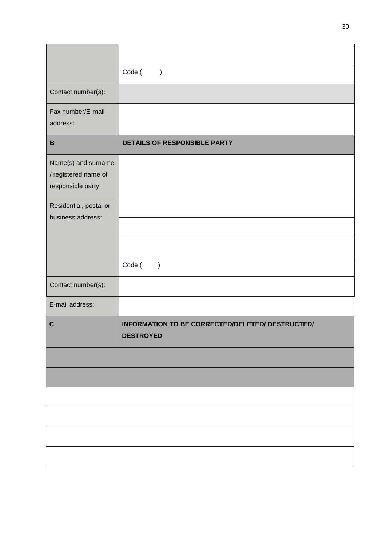|                                                                   | Code (<br>$\big)$                                                    |
|-------------------------------------------------------------------|----------------------------------------------------------------------|
| Contact number(s):                                                |                                                                      |
| Fax number/E-mail<br>address:                                     |                                                                      |
| $\, {\bf B}$                                                      | DETAILS OF RESPONSIBLE PARTY                                         |
| Name(s) and surname<br>/ registered name of<br>responsible party: |                                                                      |
| Residential, postal or<br>business address:                       |                                                                      |
|                                                                   |                                                                      |
|                                                                   | Code (<br>$\lambda$                                                  |
| Contact number(s):                                                |                                                                      |
| E-mail address:                                                   |                                                                      |
| $\mathbf C$                                                       | INFORMATION TO BE CORRECTED/DELETED/ DESTRUCTED/<br><b>DESTROYED</b> |
|                                                                   |                                                                      |
|                                                                   |                                                                      |
|                                                                   |                                                                      |
|                                                                   |                                                                      |
|                                                                   |                                                                      |
|                                                                   |                                                                      |